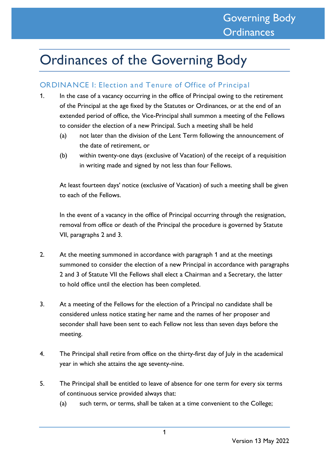# Ordinances of the Governing Body

# ORDINANCE I: Election and Tenure of Office of Principal

- 1. In the case of a vacancy occurring in the office of Principal owing to the retirement of the Principal at the age fixed by the Statutes or Ordinances, or at the end of an extended period of office, the Vice-Principal shall summon a meeting of the Fellows to consider the election of a new Principal. Such a meeting shall be held
	- (a) not later than the division of the Lent Term following the announcement of the date of retirement, or
	- (b) within twenty-one days (exclusive of Vacation) of the receipt of a requisition in writing made and signed by not less than four Fellows.

At least fourteen days' notice (exclusive of Vacation) of such a meeting shall be given to each of the Fellows.

In the event of a vacancy in the office of Principal occurring through the resignation, removal from office or death of the Principal the procedure is governed by Statute VII, paragraphs 2 and 3.

- 2. At the meeting summoned in accordance with paragraph 1 and at the meetings summoned to consider the election of a new Principal in accordance with paragraphs 2 and 3 of Statute VII the Fellows shall elect a Chairman and a Secretary, the latter to hold office until the election has been completed.
- 3. At a meeting of the Fellows for the election of a Principal no candidate shall be considered unless notice stating her name and the names of her proposer and seconder shall have been sent to each Fellow not less than seven days before the meeting.
- 4. The Principal shall retire from office on the thirty-first day of July in the academical year in which she attains the age seventy-nine.
- 5. The Principal shall be entitled to leave of absence for one term for every six terms of continuous service provided always that:
	- (a) such term, or terms, shall be taken at a time convenient to the College;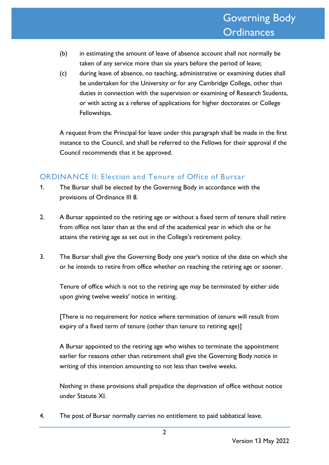- (b) in estimating the amount of leave of absence account shall not normally be taken of any service more than six years before the period of leave;
- (c) during leave of absence, no teaching, administrative or examining duties shall be undertaken for the University or for any Cambridge College, other than duties in connection with the supervision or examining of Research Students, or with acting as a referee of applications for higher doctorates or College Fellowships.

A request from the Principal for leave under this paragraph shall be made in the first instance to the Council, and shall be referred to the Fellows for their approval if the Council recommends that it be approved.

## ORDINANCE II: Election and Tenure of Office of Bursar

- 1. The Bursar shall be elected by the Governing Body in accordance with the provisions of Ordinance III 8.
- 2. A Bursar appointed to the retiring age or without a fixed term of tenure shall retire from office not later than at the end of the academical year in which she or he attains the retiring age as set out in the College's retirement policy.
- 3. The Bursar shall give the Governing Body one year's notice of the date on which she or he intends to retire from office whether on reaching the retiring age or sooner.

Tenure of office which is not to the retiring age may be terminated by either side upon giving twelve weeks' notice in writing.

[There is no requirement for notice where termination of tenure will result from expiry of a fixed term of tenure (other than tenure to retiring age)]

A Bursar appointed to the retiring age who wishes to terminate the appointment earlier for reasons other than retirement shall give the Governing Body notice in writing of this intention amounting to not less than twelve weeks.

Nothing in these provisions shall prejudice the deprivation of office without notice under Statute XI.

4. The post of Bursar normally carries no entitlement to paid sabbatical leave.

2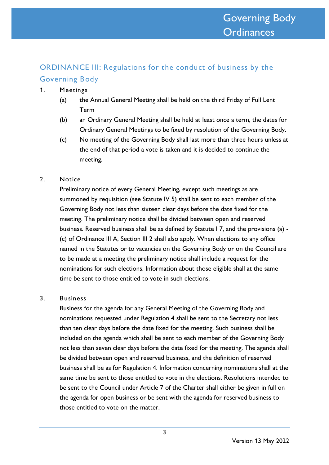# ORDINANCE III: Regulations for the conduct of business by the Governing Body

- 1. Meetings
	- (a) the Annual General Meeting shall be held on the third Friday of Full Lent Term
	- (b) an Ordinary General Meeting shall be held at least once a term, the dates for Ordinary General Meetings to be fixed by resolution of the Governing Body.
	- (c) No meeting of the Governing Body shall last more than three hours unless at the end of that period a vote is taken and it is decided to continue the meeting.
- 2. Notice

Preliminary notice of every General Meeting, except such meetings as are summoned by requisition (see Statute IV 5) shall be sent to each member of the Governing Body not less than sixteen clear days before the date fixed for the meeting. The preliminary notice shall be divided between open and reserved business. Reserved business shall be as defined by Statute I 7, and the provisions (a) - (c) of Ordinance III A, Section III 2 shall also apply. When elections to any office named in the Statutes or to vacancies on the Governing Body or on the Council are to be made at a meeting the preliminary notice shall include a request for the nominations for such elections. Information about those eligible shall at the same time be sent to those entitled to vote in such elections.

3. Business

Business for the agenda for any General Meeting of the Governing Body and nominations requested under Regulation 4 shall be sent to the Secretary not less than ten clear days before the date fixed for the meeting. Such business shall be included on the agenda which shall be sent to each member of the Governing Body not less than seven clear days before the date fixed for the meeting. The agenda shall be divided between open and reserved business, and the definition of reserved business shall be as for Regulation 4. Information concerning nominations shall at the same time be sent to those entitled to vote in the elections. Resolutions intended to be sent to the Council under Article 7 of the Charter shall either be given in full on the agenda for open business or be sent with the agenda for reserved business to those entitled to vote on the matter.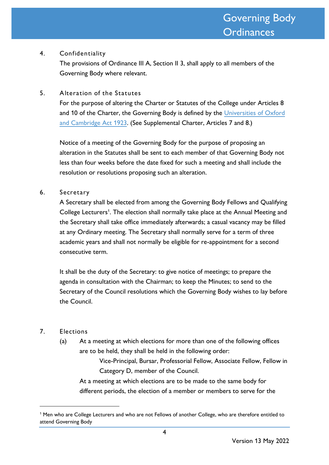#### 4. Confidentiality

The provisions of Ordinance III A, Section II 3, shall apply to all members of the Governing Body where relevant.

5. Alteration of the Statutes

For the purpose of altering the Charter or Statutes of the College under Articles 8 and 10 of the Charter, the Governing Body is defined by the [Universities of Oxford](http://www.legislation.gov.uk/ukpga/Geo5/13-14/33/contents)  [and Cambridge Act 1923.](http://www.legislation.gov.uk/ukpga/Geo5/13-14/33/contents) (See Supplemental Charter, Articles 7 and 8.)

Notice of a meeting of the Governing Body for the purpose of proposing an alteration in the Statutes shall be sent to each member of that Governing Body not less than four weeks before the date fixed for such a meeting and shall include the resolution or resolutions proposing such an alteration.

#### 6. Secretary

A Secretary shall be elected from among the Governing Body Fellows and Qualifying College Lecturers<sup>1</sup>. The election shall normally take place at the Annual Meeting and the Secretary shall take office immediately afterwards; a casual vacancy may be filled at any Ordinary meeting. The Secretary shall normally serve for a term of three academic years and shall not normally be eligible for re-appointment for a second consecutive term.

It shall be the duty of the Secretary: to give notice of meetings; to prepare the agenda in consultation with the Chairman; to keep the Minutes; to send to the Secretary of the Council resolutions which the Governing Body wishes to lay before the Council.

#### 7. Elections

(a) At a meeting at which elections for more than one of the following offices are to be held, they shall be held in the following order:

> Vice-Principal, Bursar, Professorial Fellow, Associate Fellow, Fellow in Category D, member of the Council.

At a meeting at which elections are to be made to the same body for different periods, the election of a member or members to serve for the

<sup>&</sup>lt;sup>1</sup> Men who are College Lecturers and who are not Fellows of another College, who are therefore entitled to attend Governing Body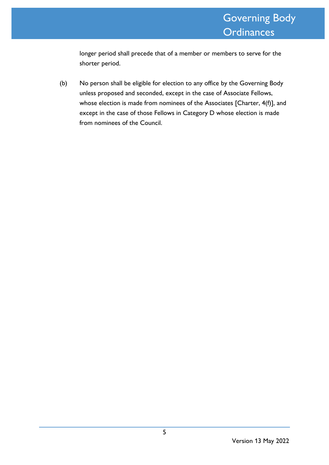longer period shall precede that of a member or members to serve for the shorter period.

(b) No person shall be eligible for election to any office by the Governing Body unless proposed and seconded, except in the case of Associate Fellows, whose election is made from nominees of the Associates [Charter, 4(f)], and except in the case of those Fellows in Category D whose election is made from nominees of the Council.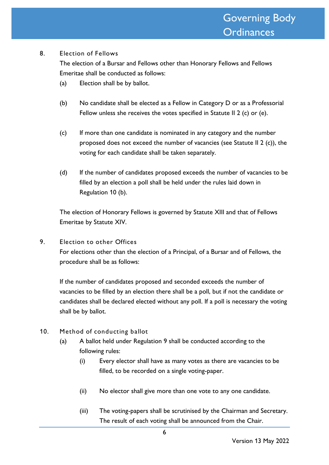#### 8. Election of Fellows

The election of a Bursar and Fellows other than Honorary Fellows and Fellows Emeritae shall be conducted as follows:

- (a) Election shall be by ballot.
- (b) No candidate shall be elected as a Fellow in Category D or as a Professorial Fellow unless she receives the votes specified in Statute II 2 (c) or (e).
- (c) If more than one candidate is nominated in any category and the number proposed does not exceed the number of vacancies (see Statute II 2 (c)), the voting for each candidate shall be taken separately.
- (d) If the number of candidates proposed exceeds the number of vacancies to be filled by an election a poll shall be held under the rules laid down in Regulation 10 (b).

The election of Honorary Fellows is governed by Statute XIII and that of Fellows Emeritae by Statute XIV.

9. Election to other Offices

For elections other than the election of a Principal, of a Bursar and of Fellows, the procedure shall be as follows:

If the number of candidates proposed and seconded exceeds the number of vacancies to be filled by an election there shall be a poll, but if not the candidate or candidates shall be declared elected without any poll. If a poll is necessary the voting shall be by ballot.

- 10. Method of conducting ballot
	- (a) A ballot held under Regulation 9 shall be conducted according to the following rules:
		- (i) Every elector shall have as many votes as there are vacancies to be filled, to be recorded on a single voting-paper.
		- (ii) No elector shall give more than one vote to any one candidate.
		- (iii) The voting-papers shall be scrutinised by the Chairman and Secretary. The result of each voting shall be announced from the Chair.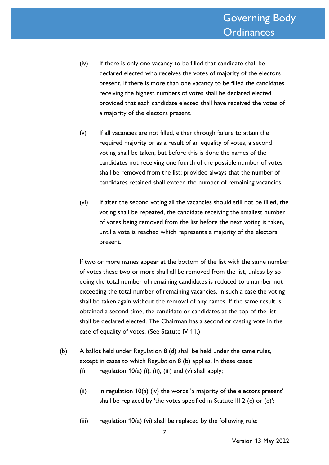- (iv) If there is only one vacancy to be filled that candidate shall be declared elected who receives the votes of majority of the electors present. If there is more than one vacancy to be filled the candidates receiving the highest numbers of votes shall be declared elected provided that each candidate elected shall have received the votes of a majority of the electors present.
- (v) If all vacancies are not filled, either through failure to attain the required majority or as a result of an equality of votes, a second voting shall be taken, but before this is done the names of the candidates not receiving one fourth of the possible number of votes shall be removed from the list; provided always that the number of candidates retained shall exceed the number of remaining vacancies.
- (vi) If after the second voting all the vacancies should still not be filled, the voting shall be repeated, the candidate receiving the smallest number of votes being removed from the list before the next voting is taken, until a vote is reached which represents a majority of the electors present.

If two or more names appear at the bottom of the list with the same number of votes these two or more shall all be removed from the list, unless by so doing the total number of remaining candidates is reduced to a number not exceeding the total number of remaining vacancies. In such a case the voting shall be taken again without the removal of any names. If the same result is obtained a second time, the candidate or candidates at the top of the list shall be declared elected. The Chairman has a second or casting vote in the case of equality of votes. (See Statute IV 11.)

- (b) A ballot held under Regulation 8 (d) shall be held under the same rules, except in cases to which Regulation 8 (b) applies. In these cases:
	- (i) regulation  $10(a)$  (i), (ii), (iii) and (v) shall apply;
	- (ii) in regulation  $10(a)$  (iv) the words 'a majority of the electors present' shall be replaced by 'the votes specified in Statute III 2 (c) or (e)';
	- (iii) regulation  $10(a)$  (vi) shall be replaced by the following rule: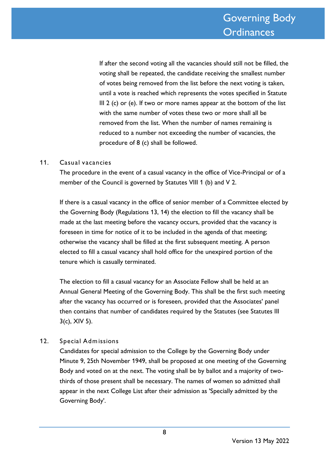If after the second voting all the vacancies should still not be filled, the voting shall be repeated, the candidate receiving the smallest number of votes being removed from the list before the next voting is taken, until a vote is reached which represents the votes specified in Statute III 2 (c) or (e). If two or more names appear at the bottom of the list with the same number of votes these two or more shall all be removed from the list. When the number of names remaining is reduced to a number not exceeding the number of vacancies, the procedure of 8 (c) shall be followed.

#### 11. Casual vacancies

The procedure in the event of a casual vacancy in the office of Vice-Principal or of a member of the Council is governed by Statutes VIII 1 (b) and V 2.

If there is a casual vacancy in the office of senior member of a Committee elected by the Governing Body (Regulations 13, 14) the election to fill the vacancy shall be made at the last meeting before the vacancy occurs, provided that the vacancy is foreseen in time for notice of it to be included in the agenda of that meeting; otherwise the vacancy shall be filled at the first subsequent meeting. A person elected to fill a casual vacancy shall hold office for the unexpired portion of the tenure which is casually terminated.

The election to fill a casual vacancy for an Associate Fellow shall be held at an Annual General Meeting of the Governing Body. This shall be the first such meeting after the vacancy has occurred or is foreseen, provided that the Associates' panel then contains that number of candidates required by the Statutes (see Statutes III 3(c), XIV 5).

#### 12. Special Adm issions

Candidates for special admission to the College by the Governing Body under Minute 9, 25th November 1949, shall be proposed at one meeting of the Governing Body and voted on at the next. The voting shall be by ballot and a majority of twothirds of those present shall be necessary. The names of women so admitted shall appear in the next College List after their admission as 'Specially admitted by the Governing Body'.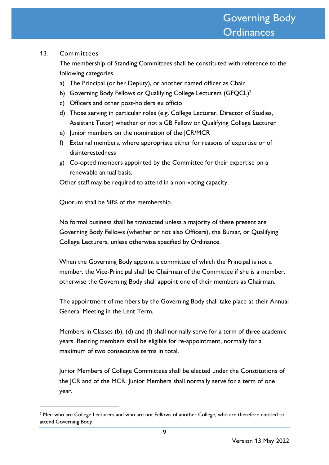#### 13. Com m ittees

The membership of Standing Committees shall be constituted with reference to the following categories

- a) The Principal (or her Deputy), or another named officer as Chair
- b) Governing Body Fellows or Qualifying College Lecturers (GFQCL)<sup>2</sup>
- c) Officers and other post-holders ex officio
- d) Those serving in particular roles (e.g. College Lecturer, Director of Studies, Assistant Tutor) whether or not a GB Fellow or Qualifying College Lecturer
- e) Junior members on the nomination of the JCR/MCR
- f) External members, where appropriate either for reasons of expertise or of disinterestedness
- g) Co-opted members appointed by the Committee for their expertise on a renewable annual basis.

Other staff may be required to attend in a non-voting capacity.

Quorum shall be 50% of the membership.

No formal business shall be transacted unless a majority of these present are Governing Body Fellows (whether or not also Officers), the Bursar, or Qualifying College Lecturers, unless otherwise specified by Ordinance.

When the Governing Body appoint a committee of which the Principal is not a member, the Vice-Principal shall be Chairman of the Committee if she is a member, otherwise the Governing Body shall appoint one of their members as Chairman.

The appointment of members by the Governing Body shall take place at their Annual General Meeting in the Lent Term.

Members in Classes (b), (d) and (f) shall normally serve for a term of three academic years. Retiring members shall be eligible for re-appointment, normally for a maximum of two consecutive terms in total.

Junior Members of College Committees shall be elected under the Constitutions of the JCR and of the MCR. Junior Members shall normally serve for a term of one year.

<sup>&</sup>lt;sup>2</sup> Men who are College Lecturers and who are not Fellows of another College, who are therefore entitled to attend Governing Body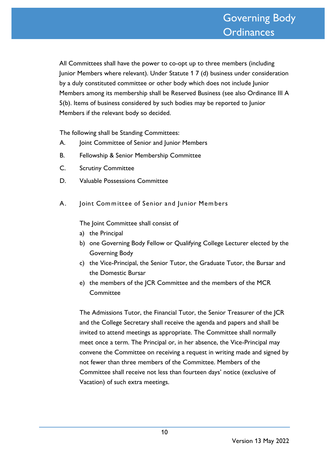All Committees shall have the power to co-opt up to three members (including Junior Members where relevant). Under Statute 1 7 (d) business under consideration by a duly constituted committee or other body which does not include Junior Members among its membership shall be Reserved Business (see also Ordinance III A 5(b). Items of business considered by such bodies may be reported to Junior Members if the relevant body so decided.

The following shall be Standing Committees:

- A. Joint Committee of Senior and Junior Members
- B. Fellowship & Senior Membership Committee
- C. Scrutiny Committee
- D. Valuable Possessions Committee
- A. Joint Committee of Senior and Junior Members

The Joint Committee shall consist of

- a) the Principal
- b) one Governing Body Fellow or Qualifying College Lecturer elected by the Governing Body
- c) the Vice-Principal, the Senior Tutor, the Graduate Tutor, the Bursar and the Domestic Bursar
- e) the members of the JCR Committee and the members of the MCR **Committee**

The Admissions Tutor, the Financial Tutor, the Senior Treasurer of the JCR and the College Secretary shall receive the agenda and papers and shall be invited to attend meetings as appropriate. The Committee shall normally meet once a term. The Principal or, in her absence, the Vice-Principal may convene the Committee on receiving a request in writing made and signed by not fewer than three members of the Committee. Members of the Committee shall receive not less than fourteen days' notice (exclusive of Vacation) of such extra meetings.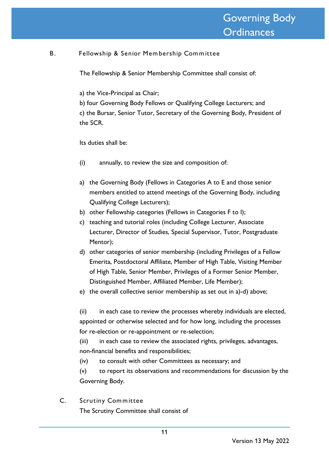## B. Fellowship & Senior Mem bership Com m ittee

The Fellowship & Senior Membership Committee shall consist of:

a) the Vice-Principal as Chair;

b) four Governing Body Fellows or Qualifying College Lecturers; and c) the Bursar, Senior Tutor, Secretary of the Governing Body, President of the SCR.

Its duties shall be:

- (i) annually, to review the size and composition of:
- a) the Governing Body (Fellows in Categories A to E and those senior members entitled to attend meetings of the Governing Body, including Qualifying College Lecturers);
- b) other Fellowship categories (Fellows in Categories F to I);
- c) teaching and tutorial roles (including College Lecturer, Associate Lecturer, Director of Studies, Special Supervisor, Tutor, Postgraduate Mentor);
- d) other categories of senior membership (including Privileges of a Fellow Emerita, Postdoctoral Affiliate, Member of High Table, Visiting Member of High Table, Senior Member, Privileges of a Former Senior Member, Distinguished Member, Affiliated Member, Life Member);
- e) the overall collective senior membership as set out in a)-d) above;

(ii) in each case to review the processes whereby individuals are elected, appointed or otherwise selected and for how long, including the processes for re-election or re-appointment or re-selection;

(iii) in each case to review the associated rights, privileges, advantages, non-financial benefits and responsibilities;

(iv) to consult with other Committees as necessary; and

(v) to report its observations and recommendations for discussion by the Governing Body.

C. Scrutiny Committee The Scrutiny Committee shall consist of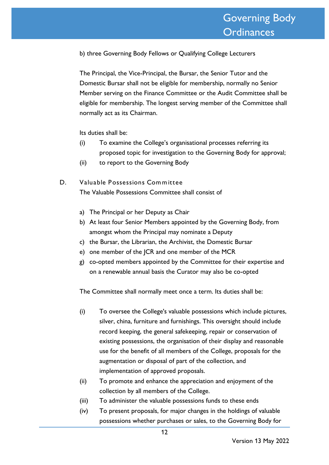b) three Governing Body Fellows or Qualifying College Lecturers

The Principal, the Vice-Principal, the Bursar, the Senior Tutor and the Domestic Bursar shall not be eligible for membership, normally no Senior Member serving on the Finance Committee or the Audit Committee shall be eligible for membership. The longest serving member of the Committee shall normally act as its Chairman.

Its duties shall be:

- (i) To examine the College's organisational processes referring its proposed topic for investigation to the Governing Body for approval;
- (ii) to report to the Governing Body
- D. Valuable Possessions Committee The Valuable Possessions Committee shall consist of
	- a) The Principal or her Deputy as Chair
	- b) At least four Senior Members appointed by the Governing Body, from amongst whom the Principal may nominate a Deputy
	- c) the Bursar, the Librarian, the Archivist, the Domestic Bursar
	- e) one member of the JCR and one member of the MCR
	- g) co-opted members appointed by the Committee for their expertise and on a renewable annual basis the Curator may also be co-opted

The Committee shall normally meet once a term. Its duties shall be:

- (i) To oversee the College's valuable possessions which include pictures, silver, china, furniture and furnishings. This oversight should include record keeping, the general safekeeping, repair or conservation of existing possessions, the organisation of their display and reasonable use for the benefit of all members of the College, proposals for the augmentation or disposal of part of the collection, and implementation of approved proposals.
- (ii) To promote and enhance the appreciation and enjoyment of the collection by all members of the College.
- (iii) To administer the valuable possessions funds to these ends
- (iv) To present proposals, for major changes in the holdings of valuable possessions whether purchases or sales, to the Governing Body for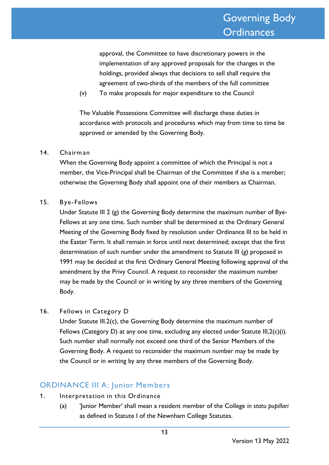approval, the Committee to have discretionary powers in the implementation of any approved proposals for the changes in the holdings, provided always that decisions to sell shall require the agreement of two-thirds of the members of the full committee

(v) To make proposals for major expenditure to the Council

The Valuable Possessions Committee will discharge these duties in accordance with protocols and procedures which may from time to time be approved or amended by the Governing Body.

#### 14. Chairman

When the Governing Body appoint a committee of which the Principal is not a member, the Vice-Principal shall be Chairman of the Committee if she is a member; otherwise the Governing Body shall appoint one of their members as Chairman.

#### 15. Bye- Fellows

Under Statute III 2 (g) the Governing Body determine the maximum number of Bye-Fellows at any one time. Such number shall be determined at the Ordinary General Meeting of the Governing Body fixed by resolution under Ordinance III to be held in the Easter Term. It shall remain in force until next determined; except that the first determination of such number under the amendment to Statute III (g) proposed in 1991 may be decided at the first Ordinary General Meeting following approval of the amendment by the Privy Council. A request to reconsider the maximum number may be made by the Council or in writing by any three members of the Governing Body.

16. Fellows in Category D

Under Statute III.2(c), the Governing Body determine the maximum number of Fellows (Category D) at any one time, excluding any elected under Statute III,2(c)(i). Such number shall normally not exceed one third of the Senior Members of the Governing Body. A request to reconsider the maximum number may be made by the Council or in writing by any three members of the Governing Body.

# ORDINANCE III A: Junior Mem bers

- 1. Interpretation in this Ordinance
	- (a) 'Junior Member' shall mean a resident member of the College *in statu pupillari* as defined in Statute I of the Newnham College Statutes.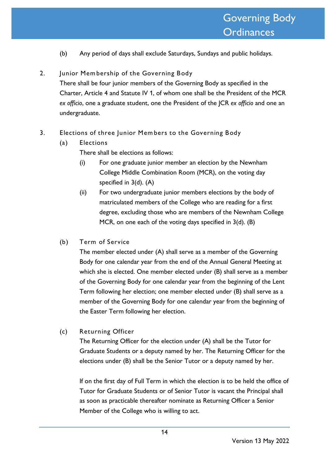- (b) Any period of days shall exclude Saturdays, Sundays and public holidays.
- 2. Junior Mem bership of the Governing Body There shall be four junior members of the Governing Body as specified in the Charter, Article 4 and Statute IV 1, of whom one shall be the President of the MCR *ex officio*, one a graduate student, one the President of the JCR *ex officio* and one an undergraduate.
- 3. Elections of three Junior Mem bers to the Governing Body
	- (a) Elections

There shall be elections as follows:

- (i) For one graduate junior member an election by the Newnham College Middle Combination Room (MCR), on the voting day specified in 3(d). (A)
- (ii) For two undergraduate junior members elections by the body of matriculated members of the College who are reading for a first degree, excluding those who are members of the Newnham College MCR, on one each of the voting days specified in 3(d). (B)
- (b) Term of Service

The member elected under (A) shall serve as a member of the Governing Body for one calendar year from the end of the Annual General Meeting at which she is elected. One member elected under (B) shall serve as a member of the Governing Body for one calendar year from the beginning of the Lent Term following her election; one member elected under (B) shall serve as a member of the Governing Body for one calendar year from the beginning of the Easter Term following her election.

(c) Returning Officer

The Returning Officer for the election under (A) shall be the Tutor for Graduate Students or a deputy named by her. The Returning Officer for the elections under (B) shall be the Senior Tutor or a deputy named by her.

If on the first day of Full Term in which the election is to be held the office of Tutor for Graduate Students or of Senior Tutor is vacant the Principal shall as soon as practicable thereafter nominate as Returning Officer a Senior Member of the College who is willing to act.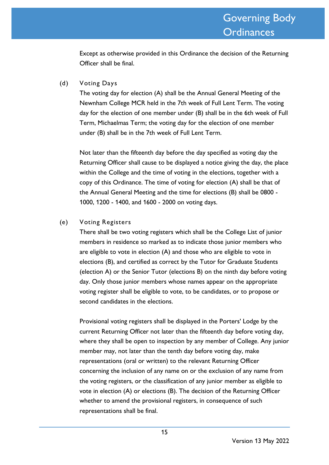Except as otherwise provided in this Ordinance the decision of the Returning Officer shall be final.

#### (d) Voting Days

The voting day for election (A) shall be the Annual General Meeting of the Newnham College MCR held in the 7th week of Full Lent Term. The voting day for the election of one member under (B) shall be in the 6th week of Full Term, Michaelmas Term; the voting day for the election of one member under (B) shall be in the 7th week of Full Lent Term.

Not later than the fifteenth day before the day specified as voting day the Returning Officer shall cause to be displayed a notice giving the day, the place within the College and the time of voting in the elections, together with a copy of this Ordinance. The time of voting for election (A) shall be that of the Annual General Meeting and the time for elections (B) shall be 0800 - 1000, 1200 - 1400, and 1600 - 2000 on voting days.

#### (e) Voting Registers

There shall be two voting registers which shall be the College List of junior members in residence so marked as to indicate those junior members who are eligible to vote in election (A) and those who are eligible to vote in elections (B), and certified as correct by the Tutor for Graduate Students (election A) or the Senior Tutor (elections B) on the ninth day before voting day. Only those junior members whose names appear on the appropriate voting register shall be eligible to vote, to be candidates, or to propose or second candidates in the elections.

Provisional voting registers shall be displayed in the Porters' Lodge by the current Returning Officer not later than the fifteenth day before voting day, where they shall be open to inspection by any member of College. Any junior member may, not later than the tenth day before voting day, make representations (oral or written) to the relevant Returning Officer concerning the inclusion of any name on or the exclusion of any name from the voting registers, or the classification of any junior member as eligible to vote in election (A) or elections (B). The decision of the Returning Officer whether to amend the provisional registers, in consequence of such representations shall be final.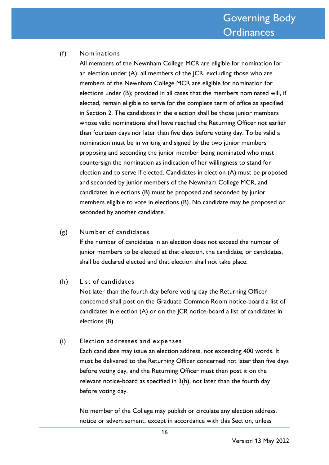#### (f) Nom inations

All members of the Newnham College MCR are eligible for nomination for an election under (A); all members of the JCR, excluding those who are members of the Newnham College MCR are eligible for nomination for elections under (B); provided in all cases that the members nominated will, if elected, remain eligible to serve for the complete term of office as specified in Section 2. The candidates in the election shall be those junior members whose valid nominations shall have reached the Returning Officer not earlier than fourteen days nor later than five days before voting day. To be valid a nomination must be in writing and signed by the two junior members proposing and seconding the junior member being nominated who must countersign the nomination as indication of her willingness to stand for election and to serve if elected. Candidates in election (A) must be proposed and seconded by junior members of the Newnham College MCR, and candidates in elections (B) must be proposed and seconded by junior members eligible to vote in elections (B). No candidate may be proposed or seconded by another candidate.

(g) Num ber of candidates

If the number of candidates in an election does not exceed the number of junior members to be elected at that election, the candidate, or candidates, shall be declared elected and that election shall not take place.

(h) List of candidates

Not later than the fourth day before voting day the Returning Officer concerned shall post on the Graduate Common Room notice-board a list of candidates in election (A) or on the JCR notice-board a list of candidates in elections (B).

#### (i) Election addresses and expenses

Each candidate may issue an election address, not exceeding 400 words. It must be delivered to the Returning Officer concerned not later than five days before voting day, and the Returning Officer must then post it on the relevant notice-board as specified in 3(h), not later than the fourth day before voting day.

No member of the College may publish or circulate any election address, notice or advertisement, except in accordance with this Section, unless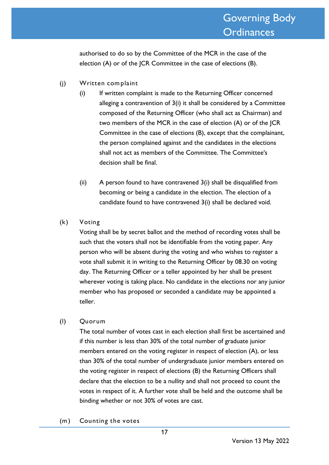authorised to do so by the Committee of the MCR in the case of the election (A) or of the JCR Committee in the case of elections (B).

- (j) Written com plaint
	- (i) If written complaint is made to the Returning Officer concerned alleging a contravention of 3(i) it shall be considered by a Committee composed of the Returning Officer (who shall act as Chairman) and two members of the MCR in the case of election (A) or of the JCR Committee in the case of elections (B), except that the complainant, the person complained against and the candidates in the elections shall not act as members of the Committee. The Committee's decision shall be final.
	- (ii) A person found to have contravened 3(i) shall be disqualified from becoming or being a candidate in the election. The election of a candidate found to have contravened 3(i) shall be declared void.

#### (k) Voting

Voting shall be by secret ballot and the method of recording votes shall be such that the voters shall not be identifiable from the voting paper. Any person who will be absent during the voting and who wishes to register a vote shall submit it in writing to the Returning Officer by 08.30 on voting day. The Returning Officer or a teller appointed by her shall be present wherever voting is taking place. No candidate in the elections nor any junior member who has proposed or seconded a candidate may be appointed a teller.

#### (l) Quorum

The total number of votes cast in each election shall first be ascertained and if this number is less than 30% of the total number of graduate junior members entered on the voting register in respect of election (A), or less than 30% of the total number of undergraduate junior members entered on the voting register in respect of elections (B) the Returning Officers shall declare that the election to be a nullity and shall not proceed to count the votes in respect of it. A further vote shall be held and the outcome shall be binding whether or not 30% of votes are cast.

(m ) Counting the votes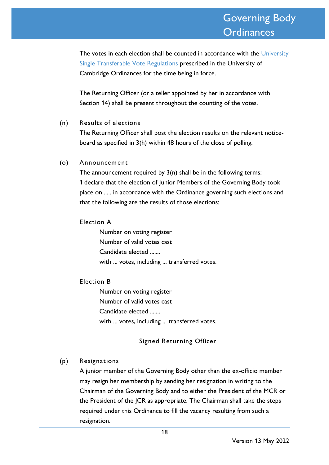The votes in each election shall be counted in accordance with the [University](https://www.governance.cam.ac.uk/ballots/rh/Pages/STV-explained.aspx)  [Single Transferable Vote Regulations](https://www.governance.cam.ac.uk/ballots/rh/Pages/STV-explained.aspx) prescribed in the University of Cambridge Ordinances for the time being in force.

The Returning Officer (or a teller appointed by her in accordance with Section 14) shall be present throughout the counting of the votes.

#### (n) Results of elections

The Returning Officer shall post the election results on the relevant noticeboard as specified in 3(h) within 48 hours of the close of polling.

#### (o) Announcem ent

The announcement required by  $3(n)$  shall be in the following terms: 'I declare that the election of Junior Members of the Governing Body took place on ..... in accordance with the Ordinance governing such elections and that the following are the results of those elections:

#### Election A

Number on voting register Number of valid votes cast Candidate elected ....... with ... votes, including ... transferred votes.

#### Election B

Number on voting register Number of valid votes cast Candidate elected ....... with ... votes, including ... transferred votes.

#### Signed Returning Officer

#### (p) Resignations

A junior member of the Governing Body other than the ex-officio member may resign her membership by sending her resignation in writing to the Chairman of the Governing Body and to either the President of the MCR or the President of the JCR as appropriate. The Chairman shall take the steps required under this Ordinance to fill the vacancy resulting from such a resignation.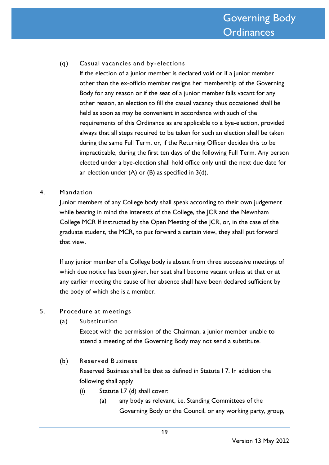#### (q) Casual vacancies and by -elections

If the election of a junior member is declared void or if a junior member other than the ex-officio member resigns her membership of the Governing Body for any reason or if the seat of a junior member falls vacant for any other reason, an election to fill the casual vacancy thus occasioned shall be held as soon as may be convenient in accordance with such of the requirements of this Ordinance as are applicable to a bye-election, provided always that all steps required to be taken for such an election shall be taken during the same Full Term, or, if the Returning Officer decides this to be impracticable, during the first ten days of the following Full Term. Any person elected under a bye-election shall hold office only until the next due date for an election under  $(A)$  or  $(B)$  as specified in  $3(d)$ .

#### 4. Mandation

Junior members of any College body shall speak according to their own judgement while bearing in mind the interests of the College, the JCR and the Newnham College MCR If instructed by the Open Meeting of the JCR, or, in the case of the graduate student, the MCR, to put forward a certain view, they shall put forward that view.

If any junior member of a College body is absent from three successive meetings of which due notice has been given, her seat shall become vacant unless at that or at any earlier meeting the cause of her absence shall have been declared sufficient by the body of which she is a member.

#### 5. Procedure at m eetings

(a) Substitution

Except with the permission of the Chairman, a junior member unable to attend a meeting of the Governing Body may not send a substitute.

## (b) Reserved Business Reserved Business shall be that as defined in Statute I 7. In addition the following shall apply

- (i) Statute I.7 (d) shall cover:
	- (a) any body as relevant, i.e. Standing Committees of the Governing Body or the Council, or any working party, group,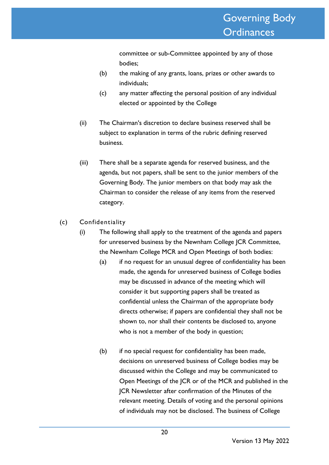committee or sub-Committee appointed by any of those bodies;

- (b) the making of any grants, loans, prizes or other awards to individuals;
- (c) any matter affecting the personal position of any individual elected or appointed by the College
- (ii) The Chairman's discretion to declare business reserved shall be subject to explanation in terms of the rubric defining reserved business.
- (iii) There shall be a separate agenda for reserved business, and the agenda, but not papers, shall be sent to the junior members of the Governing Body. The junior members on that body may ask the Chairman to consider the release of any items from the reserved category.
- (c) Confidentiality
	- (i) The following shall apply to the treatment of the agenda and papers for unreserved business by the Newnham College JCR Committee, the Newnham College MCR and Open Meetings of both bodies:
		- (a) if no request for an unusual degree of confidentiality has been made, the agenda for unreserved business of College bodies may be discussed in advance of the meeting which will consider it but supporting papers shall be treated as confidential unless the Chairman of the appropriate body directs otherwise; if papers are confidential they shall not be shown to, nor shall their contents be disclosed to, anyone who is not a member of the body in question;
		- (b) if no special request for confidentiality has been made, decisions on unreserved business of College bodies may be discussed within the College and may be communicated to Open Meetings of the JCR or of the MCR and published in the JCR Newsletter after confirmation of the Minutes of the relevant meeting. Details of voting and the personal opinions of individuals may not be disclosed. The business of College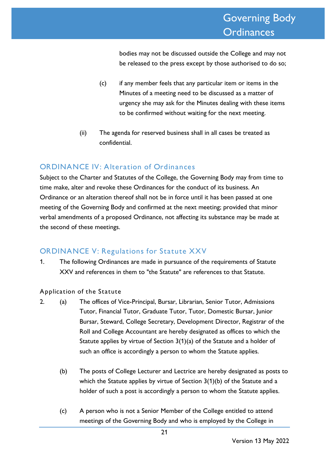bodies may not be discussed outside the College and may not be released to the press except by those authorised to do so;

- (c) if any member feels that any particular item or items in the Minutes of a meeting need to be discussed as a matter of urgency she may ask for the Minutes dealing with these items to be confirmed without waiting for the next meeting.
- (ii) The agenda for reserved business shall in all cases be treated as confidential.

# ORDINANCE IV: Alteration of Ordinances

Subject to the Charter and Statutes of the College, the Governing Body may from time to time make, alter and revoke these Ordinances for the conduct of its business. An Ordinance or an alteration thereof shall not be in force until it has been passed at one meeting of the Governing Body and confirmed at the next meeting; provided that minor verbal amendments of a proposed Ordinance, not affecting its substance may be made at the second of these meetings.

# ORDINANCE V: Regulations for Statute XXV

1. The following Ordinances are made in pursuance of the requirements of Statute XXV and references in them to "the Statute" are references to that Statute.

#### Application of the Statute

- 2. (a) The offices of Vice-Principal, Bursar, Librarian, Senior Tutor, Admissions Tutor, Financial Tutor, Graduate Tutor, Tutor, Domestic Bursar, Junior Bursar, Steward, College Secretary, Development Director, Registrar of the Roll and College Accountant are hereby designated as offices to which the Statute applies by virtue of Section 3(1)(a) of the Statute and a holder of such an office is accordingly a person to whom the Statute applies.
	- (b) The posts of College Lecturer and Lectrice are hereby designated as posts to which the Statute applies by virtue of Section 3(1)(b) of the Statute and a holder of such a post is accordingly a person to whom the Statute applies.
	- (c) A person who is not a Senior Member of the College entitled to attend meetings of the Governing Body and who is employed by the College in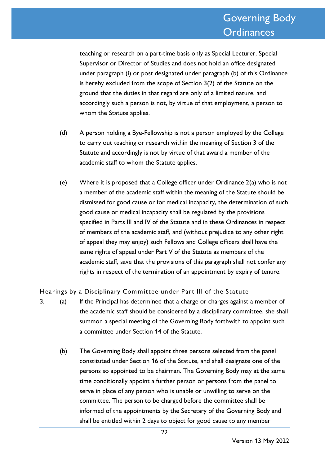teaching or research on a part-time basis only as Special Lecturer, Special Supervisor or Director of Studies and does not hold an office designated under paragraph (i) or post designated under paragraph (b) of this Ordinance is hereby excluded from the scope of Section 3(2) of the Statute on the ground that the duties in that regard are only of a limited nature, and accordingly such a person is not, by virtue of that employment, a person to whom the Statute applies.

- (d) A person holding a Bye-Fellowship is not a person employed by the College to carry out teaching or research within the meaning of Section 3 of the Statute and accordingly is not by virtue of that award a member of the academic staff to whom the Statute applies.
- (e) Where it is proposed that a College officer under Ordinance  $2(a)$  who is not a member of the academic staff within the meaning of the Statute should be dismissed for good cause or for medical incapacity, the determination of such good cause or medical incapacity shall be regulated by the provisions specified in Parts III and IV of the Statute and in these Ordinances in respect of members of the academic staff, and (without prejudice to any other right of appeal they may enjoy) such Fellows and College officers shall have the same rights of appeal under Part V of the Statute as members of the academic staff, save that the provisions of this paragraph shall not confer any rights in respect of the termination of an appointment by expiry of tenure.

Hearings by a Disciplinary Committee under Part III of the Statute

- 3. (a) If the Principal has determined that a charge or charges against a member of the academic staff should be considered by a disciplinary committee, she shall summon a special meeting of the Governing Body forthwith to appoint such a committee under Section 14 of the Statute.
	- (b) The Governing Body shall appoint three persons selected from the panel constituted under Section 16 of the Statute, and shall designate one of the persons so appointed to be chairman. The Governing Body may at the same time conditionally appoint a further person or persons from the panel to serve in place of any person who is unable or unwilling to serve on the committee. The person to be charged before the committee shall be informed of the appointments by the Secretary of the Governing Body and shall be entitled within 2 days to object for good cause to any member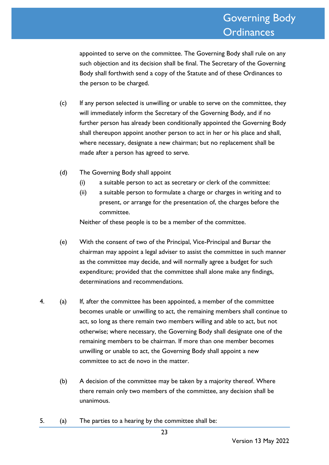appointed to serve on the committee. The Governing Body shall rule on any such objection and its decision shall be final. The Secretary of the Governing Body shall forthwith send a copy of the Statute and of these Ordinances to the person to be charged.

- (c) If any person selected is unwilling or unable to serve on the committee, they will immediately inform the Secretary of the Governing Body, and if no further person has already been conditionally appointed the Governing Body shall thereupon appoint another person to act in her or his place and shall, where necessary, designate a new chairman; but no replacement shall be made after a person has agreed to serve.
- (d) The Governing Body shall appoint
	- (i) a suitable person to act as secretary or clerk of the committee:
	- (ii) a suitable person to formulate a charge or charges in writing and to present, or arrange for the presentation of, the charges before the committee.

Neither of these people is to be a member of the committee.

- (e) With the consent of two of the Principal, Vice-Principal and Bursar the chairman may appoint a legal adviser to assist the committee in such manner as the committee may decide, and will normally agree a budget for such expenditure; provided that the committee shall alone make any findings, determinations and recommendations.
- 4. (a) If, after the committee has been appointed, a member of the committee becomes unable or unwilling to act, the remaining members shall continue to act, so long as there remain two members willing and able to act, but not otherwise; where necessary, the Governing Body shall designate one of the remaining members to be chairman. If more than one member becomes unwilling or unable to act, the Governing Body shall appoint a new committee to act de novo in the matter.
	- (b) A decision of the committee may be taken by a majority thereof. Where there remain only two members of the committee, any decision shall be unanimous.
- 5. (a) The parties to a hearing by the committee shall be: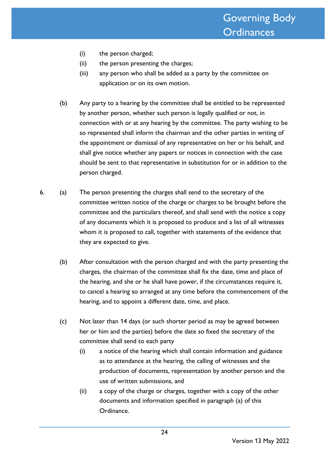- (i) the person charged;
- (ii) the person presenting the charges;
- (iii) any person who shall be added as a party by the committee on application or on its own motion.
- (b) Any party to a hearing by the committee shall be entitled to be represented by another person, whether such person is legally qualified or not, in connection with or at any hearing by the committee. The party wishing to be so represented shall inform the chairman and the other parties in writing of the appointment or dismissal of any representative on her or his behalf, and shall give notice whether any papers or notices in connection with the case should be sent to that representative in substitution for or in addition to the person charged.
- 6. (a) The person presenting the charges shall send to the secretary of the committee written notice of the charge or charges to be brought before the committee and the particulars thereof, and shall send with the notice a copy of any documents which it is proposed to produce and a list of all witnesses whom it is proposed to call, together with statements of the evidence that they are expected to give.
	- (b) After consultation with the person charged and with the party presenting the charges, the chairman of the committee shall fix the date, time and place of the hearing, and she or he shall have power, if the circumstances require it, to cancel a hearing so arranged at any time before the commencement of the hearing, and to appoint a different date, time, and place.
	- (c) Not later than 14 days (or such shorter period as may be agreed between her or him and the parties) before the date so fixed the secretary of the committee shall send to each party
		- (i) a notice of the hearing which shall contain information and guidance as to attendance at the hearing, the calling of witnesses and the production of documents, representation by another person and the use of written submissions, and
		- (ii) a copy of the charge or charges, together with a copy of the other documents and information specified in paragraph (a) of this Ordinance.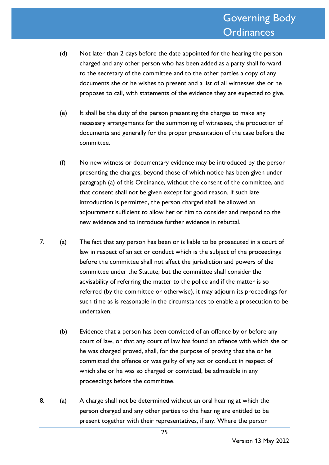- (d) Not later than 2 days before the date appointed for the hearing the person charged and any other person who has been added as a party shall forward to the secretary of the committee and to the other parties a copy of any documents she or he wishes to present and a list of all witnesses she or he proposes to call, with statements of the evidence they are expected to give.
- (e) It shall be the duty of the person presenting the charges to make any necessary arrangements for the summoning of witnesses, the production of documents and generally for the proper presentation of the case before the committee.
- (f) No new witness or documentary evidence may be introduced by the person presenting the charges, beyond those of which notice has been given under paragraph (a) of this Ordinance, without the consent of the committee, and that consent shall not be given except for good reason. If such late introduction is permitted, the person charged shall be allowed an adjournment sufficient to allow her or him to consider and respond to the new evidence and to introduce further evidence in rebuttal.
- 7. (a) The fact that any person has been or is liable to be prosecuted in a court of law in respect of an act or conduct which is the subject of the proceedings before the committee shall not affect the jurisdiction and powers of the committee under the Statute; but the committee shall consider the advisability of referring the matter to the police and if the matter is so referred (by the committee or otherwise), it may adjourn its proceedings for such time as is reasonable in the circumstances to enable a prosecution to be undertaken.
	- (b) Evidence that a person has been convicted of an offence by or before any court of law, or that any court of law has found an offence with which she or he was charged proved, shall, for the purpose of proving that she or he committed the offence or was guilty of any act or conduct in respect of which she or he was so charged or convicted, be admissible in any proceedings before the committee.
- 8. (a) A charge shall not be determined without an oral hearing at which the person charged and any other parties to the hearing are entitled to be present together with their representatives, if any. Where the person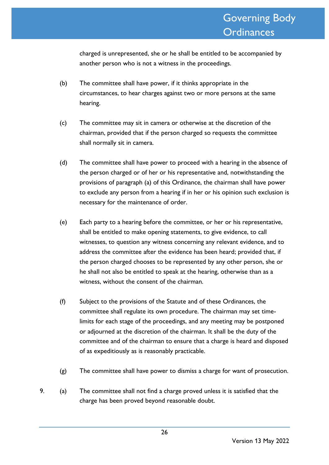charged is unrepresented, she or he shall be entitled to be accompanied by another person who is not a witness in the proceedings.

- (b) The committee shall have power, if it thinks appropriate in the circumstances, to hear charges against two or more persons at the same hearing.
- (c) The committee may sit in camera or otherwise at the discretion of the chairman, provided that if the person charged so requests the committee shall normally sit in camera.
- (d) The committee shall have power to proceed with a hearing in the absence of the person charged or of her or his representative and, notwithstanding the provisions of paragraph (a) of this Ordinance, the chairman shall have power to exclude any person from a hearing if in her or his opinion such exclusion is necessary for the maintenance of order.
- (e) Each party to a hearing before the committee, or her or his representative, shall be entitled to make opening statements, to give evidence, to call witnesses, to question any witness concerning any relevant evidence, and to address the committee after the evidence has been heard; provided that, if the person charged chooses to be represented by any other person, she or he shall not also be entitled to speak at the hearing, otherwise than as a witness, without the consent of the chairman.
- (f) Subject to the provisions of the Statute and of these Ordinances, the committee shall regulate its own procedure. The chairman may set timelimits for each stage of the proceedings, and any meeting may be postponed or adjourned at the discretion of the chairman. It shall be the duty of the committee and of the chairman to ensure that a charge is heard and disposed of as expeditiously as is reasonably practicable.
- (g) The committee shall have power to dismiss a charge for want of prosecution.
- 9. (a) The committee shall not find a charge proved unless it is satisfied that the charge has been proved beyond reasonable doubt.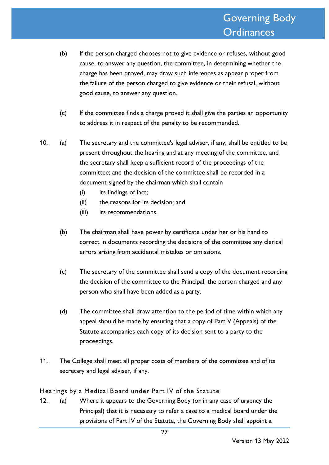- (b) If the person charged chooses not to give evidence or refuses, without good cause, to answer any question, the committee, in determining whether the charge has been proved, may draw such inferences as appear proper from the failure of the person charged to give evidence or their refusal, without good cause, to answer any question.
- (c) If the committee finds a charge proved it shall give the parties an opportunity to address it in respect of the penalty to be recommended.
- 10. (a) The secretary and the committee's legal adviser, if any, shall be entitled to be present throughout the hearing and at any meeting of the committee, and the secretary shall keep a sufficient record of the proceedings of the committee; and the decision of the committee shall be recorded in a document signed by the chairman which shall contain
	- (i) its findings of fact;
	- (ii) the reasons for its decision; and
	- (iii) its recommendations.
	- (b) The chairman shall have power by certificate under her or his hand to correct in documents recording the decisions of the committee any clerical errors arising from accidental mistakes or omissions.
	- (c) The secretary of the committee shall send a copy of the document recording the decision of the committee to the Principal, the person charged and any person who shall have been added as a party.
	- (d) The committee shall draw attention to the period of time within which any appeal should be made by ensuring that a copy of Part V (Appeals) of the Statute accompanies each copy of its decision sent to a party to the proceedings.
- 11. The College shall meet all proper costs of members of the committee and of its secretary and legal adviser, if any.

Hearings by a Medical Board under Part IV of the Statute

12. (a) Where it appears to the Governing Body (or in any case of urgency the Principal) that it is necessary to refer a case to a medical board under the provisions of Part IV of the Statute, the Governing Body shall appoint a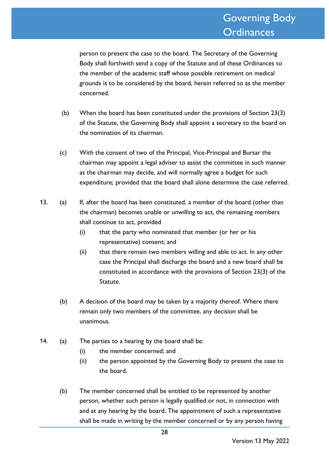person to present the case to the board. The Secretary of the Governing Body shall forthwith send a copy of the Statute and of these Ordinances to the member of the academic staff whose possible retirement on medical grounds is to be considered by the board, herein referred to as the member concerned.

- (b) When the board has been constituted under the provisions of Section 23(3) of the Statute, the Governing Body shall appoint a secretary to the board on the nomination of its chairman.
- (c) With the consent of two of the Principal, Vice-Principal and Bursar the chairman may appoint a legal adviser to assist the committee in such manner as the chairman may decide, and will normally agree a budget for such expenditure; provided that the board shall alone determine the case referred.
- 13. (a) If, after the board has been constituted, a member of the board (other than the chairman) becomes unable or unwilling to act, the remaining members shall continue to act, provided
	- (i) that the party who nominated that member (or her or his representative) consent; and
	- (ii) that there remain two members willing and able to act. In any other case the Principal shall discharge the board and a new board shall be constituted in accordance with the provisions of Section 23(3) of the Statute.
	- (b) A decision of the board may be taken by a majority thereof. Where there remain only two members of the committee, any decision shall be unanimous.
- 14. (a) The parties to a hearing by the board shall be:
	- (i) the member concerned; and
	- (ii) the person appointed by the Governing Body to present the case to the board.
	- (b) The member concerned shall be entitled to be represented by another person, whether such person is legally qualified or not, in connection with and at any hearing by the board. The appointment of such a representative shall be made in writing by the member concerned or by any person having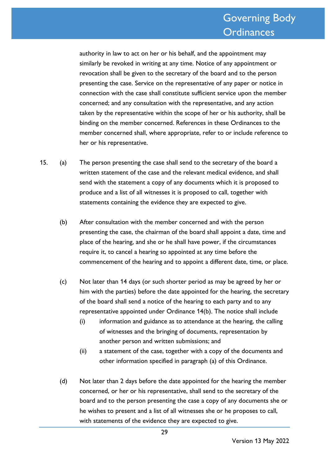authority in law to act on her or his behalf, and the appointment may similarly be revoked in writing at any time. Notice of any appointment or revocation shall be given to the secretary of the board and to the person presenting the case. Service on the representative of any paper or notice in connection with the case shall constitute sufficient service upon the member concerned; and any consultation with the representative, and any action taken by the representative within the scope of her or his authority, shall be binding on the member concerned. References in these Ordinances to the member concerned shall, where appropriate, refer to or include reference to her or his representative.

- 15. (a) The person presenting the case shall send to the secretary of the board a written statement of the case and the relevant medical evidence, and shall send with the statement a copy of any documents which it is proposed to produce and a list of all witnesses it is proposed to call, together with statements containing the evidence they are expected to give.
	- (b) After consultation with the member concerned and with the person presenting the case, the chairman of the board shall appoint a date, time and place of the hearing, and she or he shall have power, if the circumstances require it, to cancel a hearing so appointed at any time before the commencement of the hearing and to appoint a different date, time, or place.
	- (c) Not later than 14 days (or such shorter period as may be agreed by her or him with the parties) before the date appointed for the hearing, the secretary of the board shall send a notice of the hearing to each party and to any representative appointed under Ordinance 14(b). The notice shall include
		- (i) information and guidance as to attendance at the hearing, the calling of witnesses and the bringing of documents, representation by another person and written submissions; and
		- (ii) a statement of the case, together with a copy of the documents and other information specified in paragraph (a) of this Ordinance.
	- (d) Not later than 2 days before the date appointed for the hearing the member concerned, or her or his representative, shall send to the secretary of the board and to the person presenting the case a copy of any documents she or he wishes to present and a list of all witnesses she or he proposes to call, with statements of the evidence they are expected to give.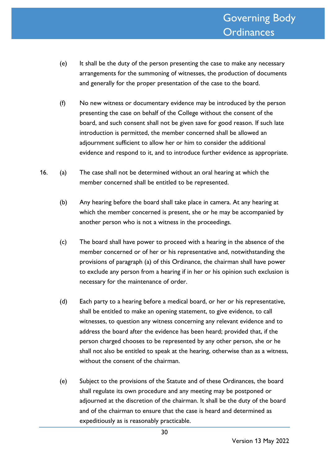- (e) It shall be the duty of the person presenting the case to make any necessary arrangements for the summoning of witnesses, the production of documents and generally for the proper presentation of the case to the board.
- (f) No new witness or documentary evidence may be introduced by the person presenting the case on behalf of the College without the consent of the board, and such consent shall not be given save for good reason. If such late introduction is permitted, the member concerned shall be allowed an adjournment sufficient to allow her or him to consider the additional evidence and respond to it, and to introduce further evidence as appropriate.
- 16. (a) The case shall not be determined without an oral hearing at which the member concerned shall be entitled to be represented.
	- (b) Any hearing before the board shall take place in camera. At any hearing at which the member concerned is present, she or he may be accompanied by another person who is not a witness in the proceedings.
	- (c) The board shall have power to proceed with a hearing in the absence of the member concerned or of her or his representative and, notwithstanding the provisions of paragraph (a) of this Ordinance, the chairman shall have power to exclude any person from a hearing if in her or his opinion such exclusion is necessary for the maintenance of order.
	- (d) Each party to a hearing before a medical board, or her or his representative, shall be entitled to make an opening statement, to give evidence, to call witnesses, to question any witness concerning any relevant evidence and to address the board after the evidence has been heard; provided that, if the person charged chooses to be represented by any other person, she or he shall not also be entitled to speak at the hearing, otherwise than as a witness, without the consent of the chairman.
	- (e) Subject to the provisions of the Statute and of these Ordinances, the board shall regulate its own procedure and any meeting may be postponed or adjourned at the discretion of the chairman. It shall be the duty of the board and of the chairman to ensure that the case is heard and determined as expeditiously as is reasonably practicable.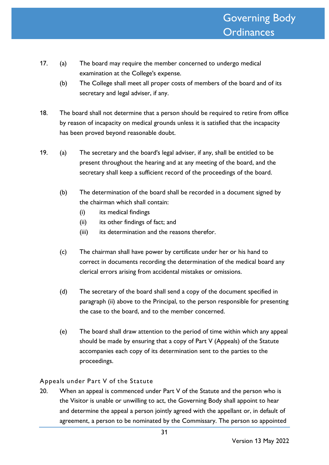- 17. (a) The board may require the member concerned to undergo medical examination at the College's expense.
	- (b) The College shall meet all proper costs of members of the board and of its secretary and legal adviser, if any.
- 18. The board shall not determine that a person should be required to retire from office by reason of incapacity on medical grounds unless it is satisfied that the incapacity has been proved beyond reasonable doubt.
- 19. (a) The secretary and the board's legal adviser, if any, shall be entitled to be present throughout the hearing and at any meeting of the board, and the secretary shall keep a sufficient record of the proceedings of the board.
	- (b) The determination of the board shall be recorded in a document signed by the chairman which shall contain:
		- (i) its medical findings
		- (ii) its other findings of fact; and
		- (iii) its determination and the reasons therefor.
	- (c) The chairman shall have power by certificate under her or his hand to correct in documents recording the determination of the medical board any clerical errors arising from accidental mistakes or omissions.
	- (d) The secretary of the board shall send a copy of the document specified in paragraph (ii) above to the Principal, to the person responsible for presenting the case to the board, and to the member concerned.
	- (e) The board shall draw attention to the period of time within which any appeal should be made by ensuring that a copy of Part V (Appeals) of the Statute accompanies each copy of its determination sent to the parties to the proceedings.

Appeals under Part V of the Statute

20. When an appeal is commenced under Part V of the Statute and the person who is the Visitor is unable or unwilling to act, the Governing Body shall appoint to hear and determine the appeal a person jointly agreed with the appellant or, in default of agreement, a person to be nominated by the Commissary. The person so appointed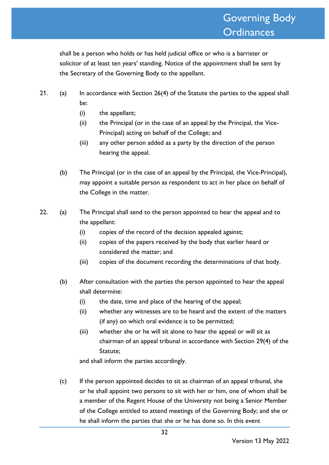shall be a person who holds or has held judicial office or who is a barrister or solicitor of at least ten years' standing. Notice of the appointment shall be sent by the Secretary of the Governing Body to the appellant.

- 21. (a) In accordance with Section 26(4) of the Statute the parties to the appeal shall be:
	- (i) the appellant;
	- (ii) the Principal (or in the case of an appeal by the Principal, the Vice-Principal) acting on behalf of the College; and
	- (iii) any other person added as a party by the direction of the person hearing the appeal.
	- (b) The Principal (or in the case of an appeal by the Principal, the Vice-Principal), may appoint a suitable person as respondent to act in her place on behalf of the College in the matter.
- 22. (a) The Principal shall send to the person appointed to hear the appeal and to the appellant:
	- (i) copies of the record of the decision appealed against;
	- (ii) copies of the papers received by the body that earlier heard or considered the matter; and
	- (iii) copies of the document recording the determinations of that body.
	- (b) After consultation with the parties the person appointed to hear the appeal shall determine:
		- (i) the date, time and place of the hearing of the appeal;
		- (ii) whether any witnesses are to be heard and the extent of the matters (if any) on which oral evidence is to be permitted;
		- (iii) whether she or he will sit alone to hear the appeal or will sit as chairman of an appeal tribunal in accordance with Section 29(4) of the Statute;

and shall inform the parties accordingly.

(c) If the person appointed decides to sit as chairman of an appeal tribunal, she or he shall appoint two persons to sit with her or him, one of whom shall be a member of the Regent House of the University not being a Senior Member of the College entitled to attend meetings of the Governing Body; and she or he shall inform the parties that she or he has done so. In this event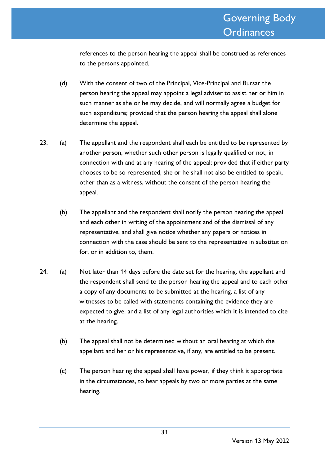references to the person hearing the appeal shall be construed as references to the persons appointed.

- (d) With the consent of two of the Principal, Vice-Principal and Bursar the person hearing the appeal may appoint a legal adviser to assist her or him in such manner as she or he may decide, and will normally agree a budget for such expenditure; provided that the person hearing the appeal shall alone determine the appeal.
- 23. (a) The appellant and the respondent shall each be entitled to be represented by another person, whether such other person is legally qualified or not, in connection with and at any hearing of the appeal; provided that if either party chooses to be so represented, she or he shall not also be entitled to speak, other than as a witness, without the consent of the person hearing the appeal.
	- (b) The appellant and the respondent shall notify the person hearing the appeal and each other in writing of the appointment and of the dismissal of any representative, and shall give notice whether any papers or notices in connection with the case should be sent to the representative in substitution for, or in addition to, them.
- 24. (a) Not later than 14 days before the date set for the hearing, the appellant and the respondent shall send to the person hearing the appeal and to each other a copy of any documents to be submitted at the hearing, a list of any witnesses to be called with statements containing the evidence they are expected to give, and a list of any legal authorities which it is intended to cite at the hearing.
	- (b) The appeal shall not be determined without an oral hearing at which the appellant and her or his representative, if any, are entitled to be present.
	- (c) The person hearing the appeal shall have power, if they think it appropriate in the circumstances, to hear appeals by two or more parties at the same hearing.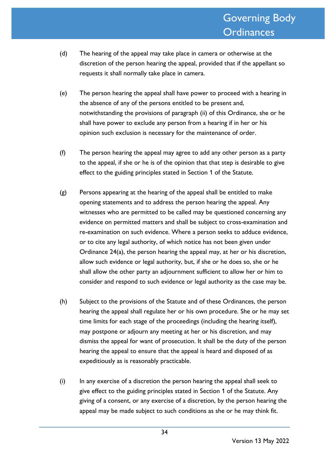- (d) The hearing of the appeal may take place in camera or otherwise at the discretion of the person hearing the appeal, provided that if the appellant so requests it shall normally take place in camera.
- (e) The person hearing the appeal shall have power to proceed with a hearing in the absence of any of the persons entitled to be present and, notwithstanding the provisions of paragraph (ii) of this Ordinance, she or he shall have power to exclude any person from a hearing if in her or his opinion such exclusion is necessary for the maintenance of order.
- (f) The person hearing the appeal may agree to add any other person as a party to the appeal, if she or he is of the opinion that that step is desirable to give effect to the guiding principles stated in Section 1 of the Statute.
- (g) Persons appearing at the hearing of the appeal shall be entitled to make opening statements and to address the person hearing the appeal. Any witnesses who are permitted to be called may be questioned concerning any evidence on permitted matters and shall be subject to cross-examination and re-examination on such evidence. Where a person seeks to adduce evidence, or to cite any legal authority, of which notice has not been given under Ordinance 24(a), the person hearing the appeal may, at her or his discretion, allow such evidence or legal authority, but, if she or he does so, she or he shall allow the other party an adjournment sufficient to allow her or him to consider and respond to such evidence or legal authority as the case may be.
- (h) Subject to the provisions of the Statute and of these Ordinances, the person hearing the appeal shall regulate her or his own procedure. She or he may set time limits for each stage of the proceedings (including the hearing itself), may postpone or adjourn any meeting at her or his discretion, and may dismiss the appeal for want of prosecution. It shall be the duty of the person hearing the appeal to ensure that the appeal is heard and disposed of as expeditiously as is reasonably practicable.
- (i) In any exercise of a discretion the person hearing the appeal shall seek to give effect to the guiding principles stated in Section 1 of the Statute. Any giving of a consent, or any exercise of a discretion, by the person hearing the appeal may be made subject to such conditions as she or he may think fit.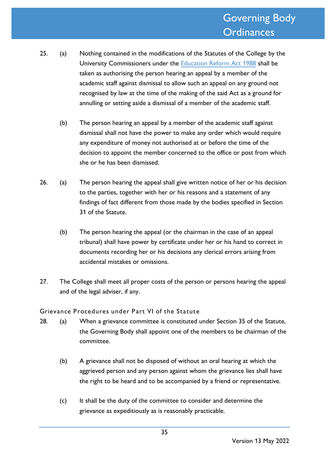- 25. (a) Nothing contained in the modifications of the Statutes of the College by the University Commissioners under the [Education Reform Act 1988](http://www.legislation.gov.uk/ukpga/1988/40/contents) shall be taken as authorising the person hearing an appeal by a member of the academic staff against dismissal to allow such an appeal on any ground not recognised by law at the time of the making of the said Act as a ground for annulling or setting aside a dismissal of a member of the academic staff.
	- (b) The person hearing an appeal by a member of the academic staff against dismissal shall not have the power to make any order which would require any expenditure of money not authorised at or before the time of the decision to appoint the member concerned to the office or post from which she or he has been dismissed.
- 26. (a) The person hearing the appeal shall give written notice of her or his decision to the parties, together with her or his reasons and a statement of any findings of fact different from those made by the bodies specified in Section 31 of the Statute.
	- (b) The person hearing the appeal (or the chairman in the case of an appeal tribunal) shall have power by certificate under her or his hand to correct in documents recording her or his decisions any clerical errors arising from accidental mistakes or omissions.
- 27. The College shall meet all proper costs of the person or persons hearing the appeal and of the legal adviser, if any.

Grievance Procedures under Part VI of the Statute

- 28. (a) When a grievance committee is constituted under Section 35 of the Statute, the Governing Body shall appoint one of the members to be chairman of the committee.
	- (b) A grievance shall not be disposed of without an oral hearing at which the aggrieved person and any person against whom the grievance lies shall have the right to be heard and to be accompanied by a friend or representative.
	- (c) It shall be the duty of the committee to consider and determine the grievance as expeditiously as is reasonably practicable.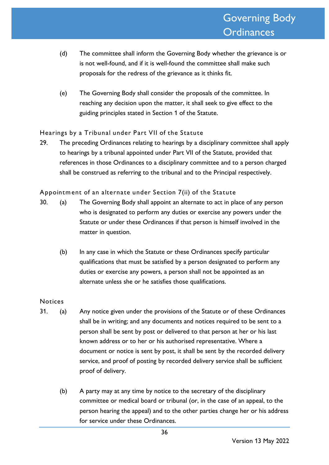- (d) The committee shall inform the Governing Body whether the grievance is or is not well-found, and if it is well-found the committee shall make such proposals for the redress of the grievance as it thinks fit.
- (e) The Governing Body shall consider the proposals of the committee. In reaching any decision upon the matter, it shall seek to give effect to the guiding principles stated in Section 1 of the Statute.

#### Hearings by a Tribunal under Part VII of the Statute

29. The preceding Ordinances relating to hearings by a disciplinary committee shall apply to hearings by a tribunal appointed under Part VII of the Statute, provided that references in those Ordinances to a disciplinary committee and to a person charged shall be construed as referring to the tribunal and to the Principal respectively.

Appointm ent of an alternate under Section 7(ii) of the Statute

- 30. (a) The Governing Body shall appoint an alternate to act in place of any person who is designated to perform any duties or exercise any powers under the Statute or under these Ordinances if that person is himself involved in the matter in question.
	- (b) In any case in which the Statute or these Ordinances specify particular qualifications that must be satisfied by a person designated to perform any duties or exercise any powers, a person shall not be appointed as an alternate unless she or he satisfies those qualifications.

#### **Notices**

- 31. (a) Any notice given under the provisions of the Statute or of these Ordinances shall be in writing; and any documents and notices required to be sent to a person shall be sent by post or delivered to that person at her or his last known address or to her or his authorised representative. Where a document or notice is sent by post, it shall be sent by the recorded delivery service, and proof of posting by recorded delivery service shall be sufficient proof of delivery.
	- (b) A party may at any time by notice to the secretary of the disciplinary committee or medical board or tribunal (or, in the case of an appeal, to the person hearing the appeal) and to the other parties change her or his address for service under these Ordinances.